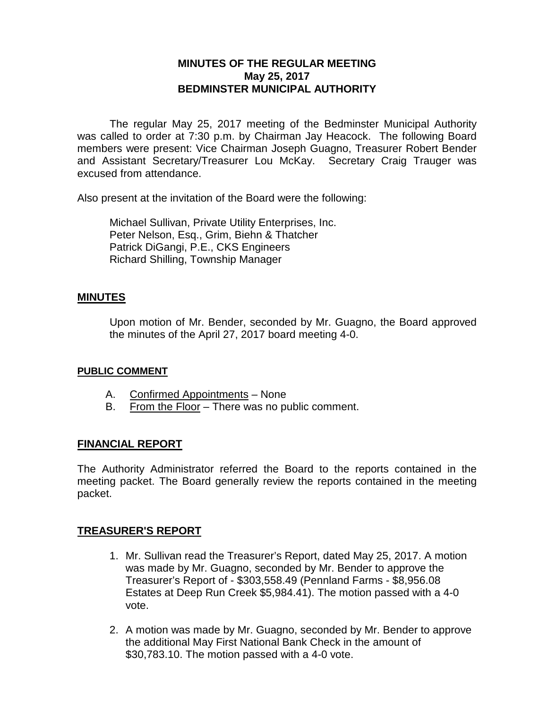### **MINUTES OF THE REGULAR MEETING May 25, 2017 BEDMINSTER MUNICIPAL AUTHORITY**

The regular May 25, 2017 meeting of the Bedminster Municipal Authority was called to order at 7:30 p.m. by Chairman Jay Heacock. The following Board members were present: Vice Chairman Joseph Guagno, Treasurer Robert Bender and Assistant Secretary/Treasurer Lou McKay. Secretary Craig Trauger was excused from attendance.

Also present at the invitation of the Board were the following:

Michael Sullivan, Private Utility Enterprises, Inc. Peter Nelson, Esq., Grim, Biehn & Thatcher Patrick DiGangi, P.E., CKS Engineers Richard Shilling, Township Manager

### **MINUTES**

Upon motion of Mr. Bender, seconded by Mr. Guagno, the Board approved the minutes of the April 27, 2017 board meeting 4-0.

#### **PUBLIC COMMENT**

- A. Confirmed Appointments None
- B. From the Floor There was no public comment.

### **FINANCIAL REPORT**

The Authority Administrator referred the Board to the reports contained in the meeting packet. The Board generally review the reports contained in the meeting packet.

### **TREASURER'S REPORT**

- 1. Mr. Sullivan read the Treasurer's Report, dated May 25, 2017. A motion was made by Mr. Guagno, seconded by Mr. Bender to approve the Treasurer's Report of - \$303,558.49 (Pennland Farms - \$8,956.08 Estates at Deep Run Creek \$5,984.41). The motion passed with a 4-0 vote.
- 2. A motion was made by Mr. Guagno, seconded by Mr. Bender to approve the additional May First National Bank Check in the amount of \$30,783.10. The motion passed with a 4-0 vote.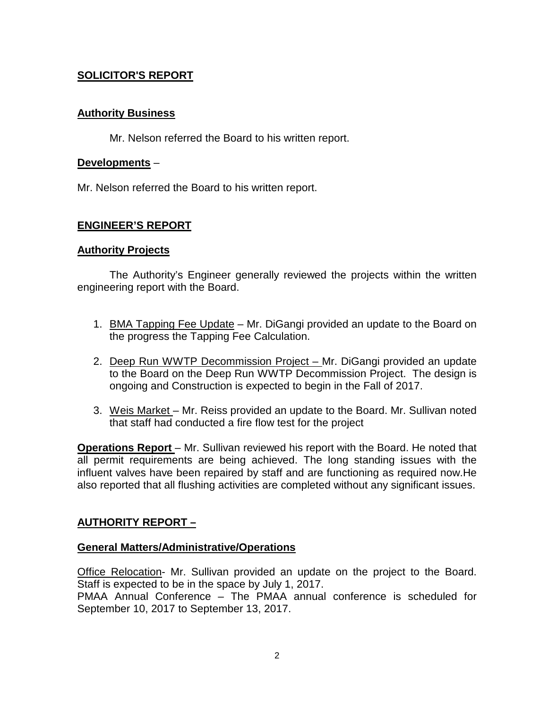# **SOLICITOR'S REPORT**

### **Authority Business**

Mr. Nelson referred the Board to his written report.

### **Developments** –

Mr. Nelson referred the Board to his written report.

# **ENGINEER'S REPORT**

### **Authority Projects**

The Authority's Engineer generally reviewed the projects within the written engineering report with the Board.

- 1. BMA Tapping Fee Update Mr. DiGangi provided an update to the Board on the progress the Tapping Fee Calculation.
- 2. Deep Run WWTP Decommission Project Mr. DiGangi provided an update to the Board on the Deep Run WWTP Decommission Project. The design is ongoing and Construction is expected to begin in the Fall of 2017.
- 3. Weis Market Mr. Reiss provided an update to the Board. Mr. Sullivan noted that staff had conducted a fire flow test for the project

**Operations Report** – Mr. Sullivan reviewed his report with the Board. He noted that all permit requirements are being achieved. The long standing issues with the influent valves have been repaired by staff and are functioning as required now.He also reported that all flushing activities are completed without any significant issues.

# **AUTHORITY REPORT –**

### **General Matters/Administrative/Operations**

Office Relocation- Mr. Sullivan provided an update on the project to the Board. Staff is expected to be in the space by July 1, 2017.

PMAA Annual Conference – The PMAA annual conference is scheduled for September 10, 2017 to September 13, 2017.